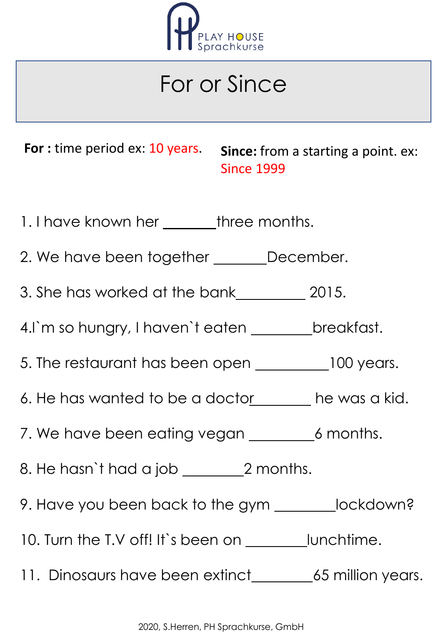

## For or Since

**For** : time period ex: 10 years. **Since:** from a starting a point. ex: Since 1999

- 1. I have known her \_\_\_\_\_\_\_\_three months.
- 2. We have been together \_\_\_\_\_\_\_December.
- 3. She has worked at the bank 2015.
- 4.I`m so hungry, I haven`t eaten \_\_\_\_\_\_\_\_ breakfast.
- 5. The restaurant has been open \_\_\_\_\_\_\_\_\_100 years.
- 6. He has wanted to be a doctors a he was a kid.
- 7. We have been eating vegan \_\_\_\_\_\_\_\_\_6 months.
- 8. He hasn't had a job \_\_\_\_\_\_\_\_\_\_\_2 months.
- 9. Have you been back to the gym \_\_\_\_\_\_\_\_lockdown?
- 10. Turn the T.V off! It's been on <u>lunchtime</u>.
- 11. Dinosaurs have been extinct\_\_\_\_\_\_\_\_\_\_65 million years.